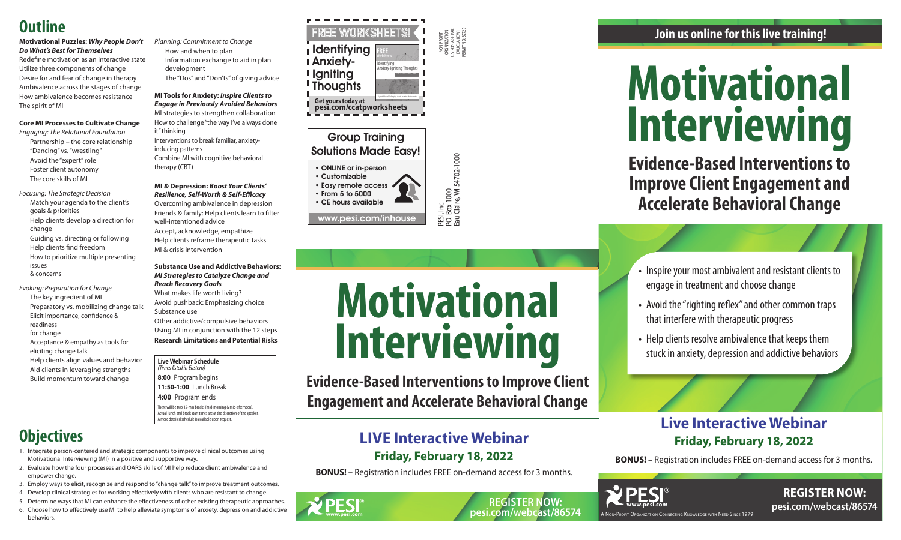NON-PROFIT ORGANIZATION U.S. POSTAGE PAID EAU CLAIRE WI PERMIT NO. 32729

P.O. Box 1000

Eau Claire, WI 54702-1000

PESI, Inc.<br>P.O. Box 1000<br>Eau Claire, WI 54702-1000 www.pesi.com/inhouse

### Group Training Solutions Made Easy!

• ONLINE or in-person

• Customizable • Easy remote access • From 5 to 5000

• CE hours available

### **Live Webinar Schedule**

- *(Times listed in Eastern)* **8:00** Program begins
- **11:50-1:00** Lunch Break
- **4:00** Program ends

There will be two 15-min breaks (mid-morning & mid-afternoon). Actual lunch and break start times are at the discretion of the speaker. A more detailed schedule is available upon request.

A Non-Profit Organization Connecting Knowledge with Need Since 1979





# **Motivational Interviewing**

**Evidence-Based Interventions to Improve Client Engagement and Accelerate Behavioral Change**

• Inspire your most ambivalent and resistant clients to engage in treatment and choose change

- Avoid the "righting reflex" and other common traps that interfere with therapeutic progress
- Help clients resolve ambivalence that keeps them stuck in anxiety, depression and addictive behaviors

**Join us online for this live training!** 

## **Live Interactive Webinar Friday, February 18, 2022**

**BONUS! –** Registration includes FREE on-demand access for 3 months.

**www.pesi.com**







**Evidence-Based Interventions to Improve Client Engagement and Accelerate Behavioral Change**

## **LIVE Interactive Webinar Friday, February 18, 2022**

**BONUS! –** Registration includes FREE on-demand access for 3 months.

# **Outline**

### **Motivational Puzzles:** *Why People Don't Do What's Best for Themselves*

Redefine motivation as an interactive state Utilize three components of change Desire for and fear of change in therapy Ambivalence across the stages of change How ambivalence becomes resistance The spirit of MI

### **Core MI Processes to Cultivate Change**

- *Engaging: The Relational Foundation* Partnership – the core relationship "Dancing" vs. "wrestling" Avoid the "expert" role Foster client autonomy The core skills of MI
- *Focusing: The Strategic Decision* Match your agenda to the client's goals & priorities Help clients develop a direction for change Guiding vs. directing or following Help clients find freedom How to prioritize multiple presenting issues & concerns
- *Evoking: Preparation for Change* The key ingredient of MI Preparatory vs. mobilizing change talk Elicit importance, confidence & readiness for change Acceptance & empathy as tools for eliciting change talk Help clients align values and behavior Aid clients in leveraging strengths Build momentum toward change

*Planning: Commitment to Change* How and when to plan Information exchange to aid in plan development The "Dos" and "Don'ts" of giving advice

### **MI Tools for Anxiety:** *Inspire Clients to Engage in Previously Avoided Behaviors* MI strategies to strengthen collaboration How to challenge "the way I've always done it" thinking

Interventions to break familiar, anxietyinducing patterns Combine MI with cognitive behavioral therapy (CBT)

### **MI & Depression:** *Boost Your Clients' Resilience, Self-Worth & Self-Efficacy*

Overcoming ambivalence in depression Friends & family: Help clients learn to filter well-intentioned advice Accept, acknowledge, empathize Help clients reframe therapeutic tasks MI & crisis intervention

**Substance Use and Addictive Behaviors:**  *MI Strategies to Catalyze Change and Reach Recovery Goals* What makes life worth living? Avoid pushback: Emphasizing choice

Substance use Other addictive/compulsive behaviors

Using MI in conjunction with the 12 steps **Research Limitations and Potential Risks**

# **Objectives**

- 1. Integrate person-centered and strategic components to improve clinical outcomes using Motivational Interviewing (MI) in a positive and supportive way.
- 2. Evaluate how the four processes and OARS skills of MI help reduce client ambivalence and empower change.
- 3. Employ ways to elicit, recognize and respond to "change talk" to improve treatment outcomes.
- 4. Develop clinical strategies for working effectively with clients who are resistant to change.
- 5. Determine ways that MI can enhance the effectiveness of other existing therapeutic approaches.
- 6. Choose how to effectively use MI to help alleviate symptoms of anxiety, depression and addictive behaviors.